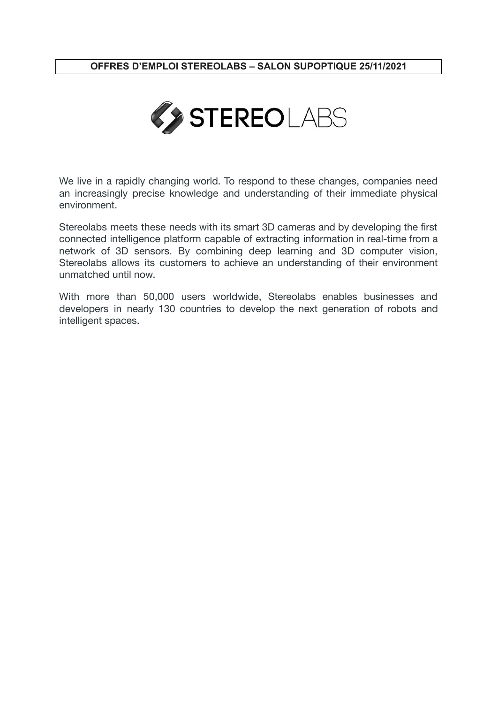

We live in a rapidly changing world. To respond to these changes, companies need an increasingly precise knowledge and understanding of their immediate physical environment.

Stereolabs meets these needs with its smart 3D cameras and by developing the first connected intelligence platform capable of extracting information in real-time from a network of 3D sensors. By combining deep learning and 3D computer vision, Stereolabs allows its customers to achieve an understanding of their environment unmatched until now.

With more than 50,000 users worldwide, Stereolabs enables businesses and developers in nearly 130 countries to develop the next generation of robots and intelligent spaces.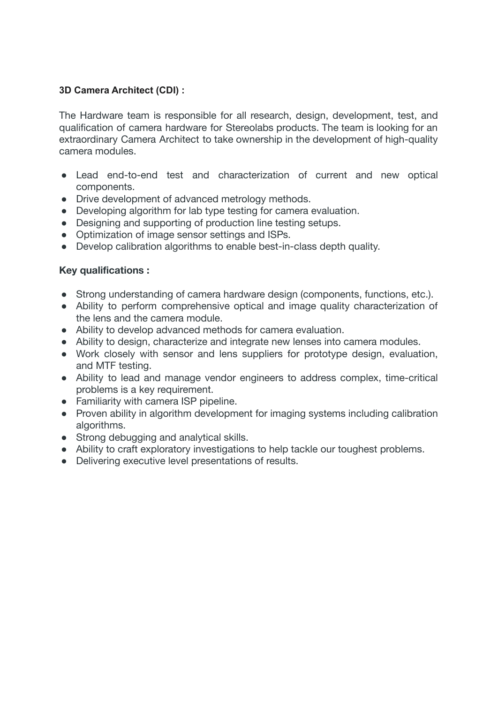## **3D Camera Architect (CDI) :**

The Hardware team is responsible for all research, design, development, test, and qualification of camera hardware for Stereolabs products. The team is looking for an extraordinary Camera Architect to take ownership in the development of high-quality camera modules.

- Lead end-to-end test and characterization of current and new optical components.
- Drive development of advanced metrology methods.
- Developing algorithm for lab type testing for camera evaluation.
- Designing and supporting of production line testing setups.
- Optimization of image sensor settings and ISPs.
- Develop calibration algorithms to enable best-in-class depth quality.

#### **Key qualifications :**

- Strong understanding of camera hardware design (components, functions, etc.).
- Ability to perform comprehensive optical and image quality characterization of the lens and the camera module.
- Ability to develop advanced methods for camera evaluation.
- Ability to design, characterize and integrate new lenses into camera modules.
- Work closely with sensor and lens suppliers for prototype design, evaluation, and MTF testing.
- Ability to lead and manage vendor engineers to address complex, time-critical problems is a key requirement.
- Familiarity with camera ISP pipeline.
- Proven ability in algorithm development for imaging systems including calibration algorithms.
- Strong debugging and analytical skills.
- Ability to craft exploratory investigations to help tackle our toughest problems.
- Delivering executive level presentations of results.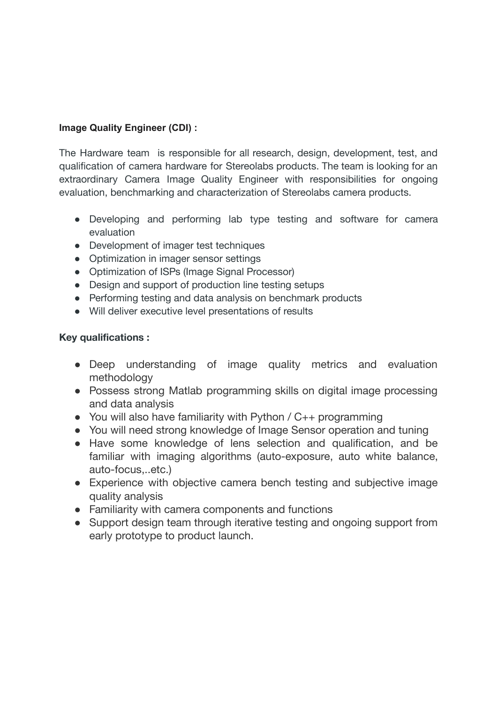# **Image Quality Engineer (CDI) :**

The Hardware team is responsible for all research, design, development, test, and qualification of camera hardware for Stereolabs products. The team is looking for an extraordinary Camera Image Quality Engineer with responsibilities for ongoing evaluation, benchmarking and characterization of Stereolabs camera products.

- Developing and performing lab type testing and software for camera evaluation
- Development of imager test techniques
- Optimization in imager sensor settings
- Optimization of ISPs (Image Signal Processor)
- Design and support of production line testing setups
- Performing testing and data analysis on benchmark products
- Will deliver executive level presentations of results

## **Key qualifications :**

- Deep understanding of image quality metrics and evaluation methodology
- Possess strong Matlab programming skills on digital image processing and data analysis
- $\bullet$  You will also have familiarity with Python / C++ programming
- You will need strong knowledge of Image Sensor operation and tuning
- Have some knowledge of lens selection and qualification, and be familiar with imaging algorithms (auto-exposure, auto white balance, auto-focus,..etc.)
- Experience with objective camera bench testing and subjective image quality analysis
- Familiarity with camera components and functions
- Support design team through iterative testing and ongoing support from early prototype to product launch.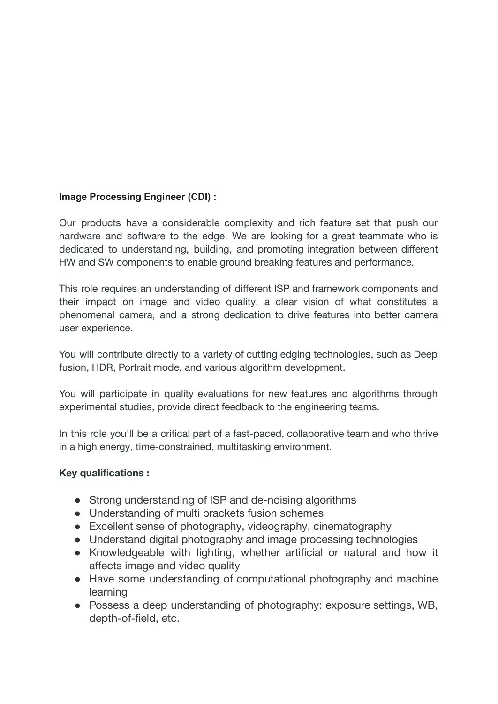## **Image Processing Engineer (CDI) :**

Our products have a considerable complexity and rich feature set that push our hardware and software to the edge. We are looking for a great teammate who is dedicated to understanding, building, and promoting integration between different HW and SW components to enable ground breaking features and performance.

This role requires an understanding of different ISP and framework components and their impact on image and video quality, a clear vision of what constitutes a phenomenal camera, and a strong dedication to drive features into better camera user experience.

You will contribute directly to a variety of cutting edging technologies, such as Deep fusion, HDR, Portrait mode, and various algorithm development.

You will participate in quality evaluations for new features and algorithms through experimental studies, provide direct feedback to the engineering teams.

In this role you'll be a critical part of a fast-paced, collaborative team and who thrive in a high energy, time-constrained, multitasking environment.

## **Key qualifications :**

- Strong understanding of ISP and de-noising algorithms
- Understanding of multi brackets fusion schemes
- Excellent sense of photography, videography, cinematography
- Understand digital photography and image processing technologies
- Knowledgeable with lighting, whether artificial or natural and how it affects image and video quality
- Have some understanding of computational photography and machine learning
- Possess a deep understanding of photography: exposure settings, WB, depth-of-field, etc.